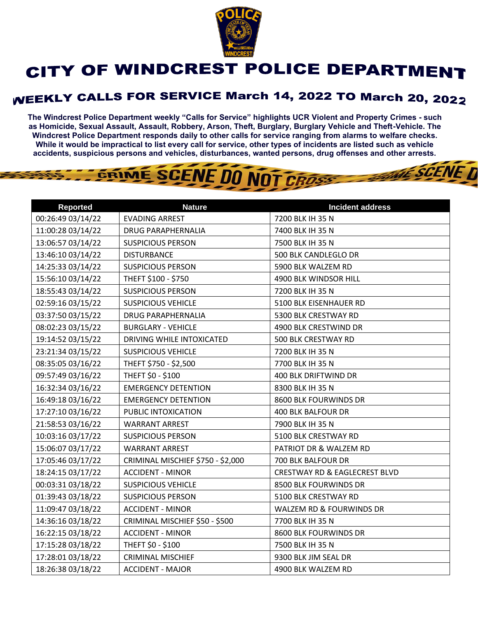

## CITY OF WINDCREST POLICE DEPARTMENT

## **WEEKLY CALLS FOR SERVICE March 14, 2022 TO March 20, 2022**

**The Windcrest Police Department weekly "Calls for Service" highlights UCR Violent and Property Crimes - such as Homicide, Sexual Assault, Assault, Robbery, Arson, Theft, Burglary, Burglary Vehicle and Theft-Vehicle. The Windcrest Police Department responds daily to other calls for service ranging from alarms to welfare checks. While it would be impractical to list every call for service, other types of incidents are listed such as vehicle accidents, suspicious persons and vehicles, disturbances, wanted persons, drug offenses and other arrests.** 

**THE SCENE D** 



| <b>Reported</b>   | <b>Nature</b>                     | <b>Incident address</b>                  |
|-------------------|-----------------------------------|------------------------------------------|
| 00:26:49 03/14/22 | <b>EVADING ARREST</b>             | 7200 BLK IH 35 N                         |
| 11:00:28 03/14/22 | <b>DRUG PARAPHERNALIA</b>         | 7400 BLK IH 35 N                         |
| 13:06:57 03/14/22 | <b>SUSPICIOUS PERSON</b>          | 7500 BLK IH 35 N                         |
| 13:46:10 03/14/22 | <b>DISTURBANCE</b>                | 500 BLK CANDLEGLO DR                     |
| 14:25:33 03/14/22 | <b>SUSPICIOUS PERSON</b>          | 5900 BLK WALZEM RD                       |
| 15:56:10 03/14/22 | THEFT \$100 - \$750               | 4900 BLK WINDSOR HILL                    |
| 18:55:43 03/14/22 | <b>SUSPICIOUS PERSON</b>          | 7200 BLK IH 35 N                         |
| 02:59:16 03/15/22 | <b>SUSPICIOUS VEHICLE</b>         | 5100 BLK EISENHAUER RD                   |
| 03:37:50 03/15/22 | <b>DRUG PARAPHERNALIA</b>         | 5300 BLK CRESTWAY RD                     |
| 08:02:23 03/15/22 | <b>BURGLARY - VEHICLE</b>         | 4900 BLK CRESTWIND DR                    |
| 19:14:52 03/15/22 | DRIVING WHILE INTOXICATED         | 500 BLK CRESTWAY RD                      |
| 23:21:34 03/15/22 | <b>SUSPICIOUS VEHICLE</b>         | 7200 BLK IH 35 N                         |
| 08:35:05 03/16/22 | THEFT \$750 - \$2,500             | 7700 BLK IH 35 N                         |
| 09:57:49 03/16/22 | THEFT \$0 - \$100                 | 400 BLK DRIFTWIND DR                     |
| 16:32:34 03/16/22 | <b>EMERGENCY DETENTION</b>        | 8300 BLK IH 35 N                         |
| 16:49:18 03/16/22 | <b>EMERGENCY DETENTION</b>        | 8600 BLK FOURWINDS DR                    |
| 17:27:10 03/16/22 | PUBLIC INTOXICATION               | 400 BLK BALFOUR DR                       |
| 21:58:53 03/16/22 | <b>WARRANT ARREST</b>             | 7900 BLK IH 35 N                         |
| 10:03:16 03/17/22 | <b>SUSPICIOUS PERSON</b>          | 5100 BLK CRESTWAY RD                     |
| 15:06:07 03/17/22 | <b>WARRANT ARREST</b>             | PATRIOT DR & WALZEM RD                   |
| 17:05:46 03/17/22 | CRIMINAL MISCHIEF \$750 - \$2,000 | 700 BLK BALFOUR DR                       |
| 18:24:15 03/17/22 | <b>ACCIDENT - MINOR</b>           | <b>CRESTWAY RD &amp; EAGLECREST BLVD</b> |
| 00:03:31 03/18/22 | <b>SUSPICIOUS VEHICLE</b>         | 8500 BLK FOURWINDS DR                    |
| 01:39:43 03/18/22 | <b>SUSPICIOUS PERSON</b>          | 5100 BLK CRESTWAY RD                     |
| 11:09:47 03/18/22 | <b>ACCIDENT - MINOR</b>           | WALZEM RD & FOURWINDS DR                 |
| 14:36:16 03/18/22 | CRIMINAL MISCHIEF \$50 - \$500    | 7700 BLK IH 35 N                         |
| 16:22:15 03/18/22 | <b>ACCIDENT - MINOR</b>           | 8600 BLK FOURWINDS DR                    |
| 17:15:28 03/18/22 | THEFT \$0 - \$100                 | 7500 BLK IH 35 N                         |
| 17:28:01 03/18/22 | <b>CRIMINAL MISCHIEF</b>          | 9300 BLK JIM SEAL DR                     |
| 18:26:38 03/18/22 | <b>ACCIDENT - MAJOR</b>           | 4900 BLK WALZEM RD                       |